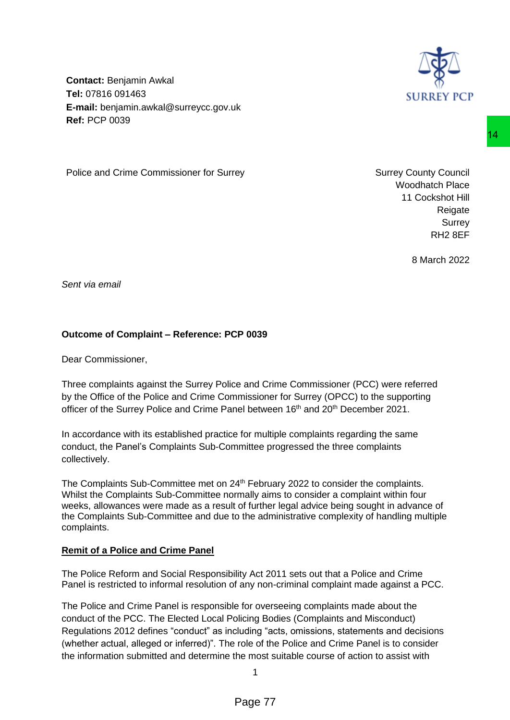

**Contact:** Benjamin Awkal **Tel:** 07816 091463 **E-mail:** benjamin.awkal@surreycc.gov.uk **Ref:** PCP 0039

Police and Crime Commissioner for Surrey Network Surrey Surrey County Council

Woodhatch Place 11 Cockshot Hill Reigate Surrey RH2 8EF

8 March 2022

*Sent via email*

## **Outcome of Complaint – Reference: PCP 0039**

Dear Commissioner,

Three complaints against the Surrey Police and Crime Commissioner (PCC) were referred by the Office of the Police and Crime Commissioner for Surrey (OPCC) to the supporting officer of the Surrey Police and Crime Panel between 16<sup>th</sup> and 20<sup>th</sup> December 2021.

In accordance with its established practice for multiple complaints regarding the same conduct, the Panel's Complaints Sub-Committee progressed the three complaints collectively.

The Complaints Sub-Committee met on 24<sup>th</sup> February 2022 to consider the complaints. Whilst the Complaints Sub-Committee normally aims to consider a complaint within four weeks, allowances were made as a result of further legal advice being sought in advance of the Complaints Sub-Committee and due to the administrative complexity of handling multiple complaints.

### **Remit of a Police and Crime Panel**

The Police Reform and Social Responsibility Act 2011 sets out that a Police and Crime Panel is restricted to informal resolution of any non-criminal complaint made against a PCC.

The Police and Crime Panel is responsible for overseeing complaints made about the conduct of the PCC. The Elected Local Policing Bodies (Complaints and Misconduct) Regulations 2012 defines "conduct" as including "acts, omissions, statements and decisions (whether actual, alleged or inferred)". The role of the Police and Crime Panel is to consider the information submitted and determine the most suitable course of action to assist with 14<br>
ey Surrey County Council<br>
Woodhatch Place<br>
11 Cockshof Hill<br>
Reigate<br>
Reflate<br>
Reflate<br>
Reflate<br>
Reflate<br>
Part 2 8 March 2022<br>
PP 0039<br>
28 March 2022<br>
PP 0039<br>
29 PP 0039<br>
29 PP 0039<br>
29 PP 0039<br>
29 PP 0039<br>
29 PP 0039

1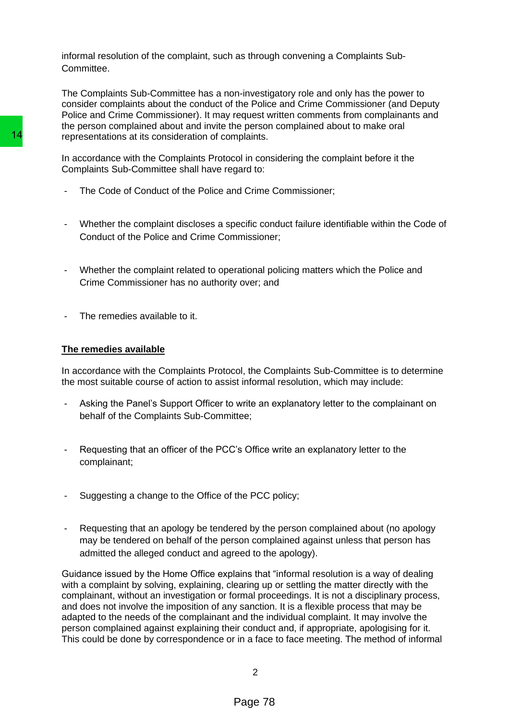informal resolution of the complaint, such as through convening a Complaints Sub-Committee.

The Complaints Sub-Committee has a non-investigatory role and only has the power to consider complaints about the conduct of the Police and Crime Commissioner (and Deputy Police and Crime Commissioner). It may request written comments from complainants and the person complained about and invite the person complained about to make oral representations at its consideration of complaints.

In accordance with the Complaints Protocol in considering the complaint before it the Complaints Sub-Committee shall have regard to:

- The Code of Conduct of the Police and Crime Commissioner;
- Whether the complaint discloses a specific conduct failure identifiable within the Code of Conduct of the Police and Crime Commissioner;
- Whether the complaint related to operational policing matters which the Police and Crime Commissioner has no authority over; and
- The remedies available to it.

#### **The remedies available**

In accordance with the Complaints Protocol, the Complaints Sub-Committee is to determine the most suitable course of action to assist informal resolution, which may include:

- Asking the Panel's Support Officer to write an explanatory letter to the complainant on behalf of the Complaints Sub-Committee;
- Requesting that an officer of the PCC's Office write an explanatory letter to the complainant;
- Suggesting a change to the Office of the PCC policy;
- Requesting that an apology be tendered by the person complained about (no apology may be tendered on behalf of the person complained against unless that person has admitted the alleged conduct and agreed to the apology).

Guidance issued by the Home Office explains that "informal resolution is a way of dealing with a complaint by solving, explaining, clearing up or settling the matter directly with the complainant, without an investigation or formal proceedings. It is not a disciplinary process, and does not involve the imposition of any sanction. It is a flexible process that may be adapted to the needs of the complainant and the individual complaint. It may involve the person complained against explaining their conduct and, if appropriate, apologising for it. This could be done by correspondence or in a face to face meeting. The method of informal 14<br>
14 representations at its consideration of complaints.<br>
In accordance with the Complaints Protocol in cons<br>
Complaints Sub-Committee shall have regard to:<br>
16 Code of Conduct of the Police and Crime Commissione<br>
17 The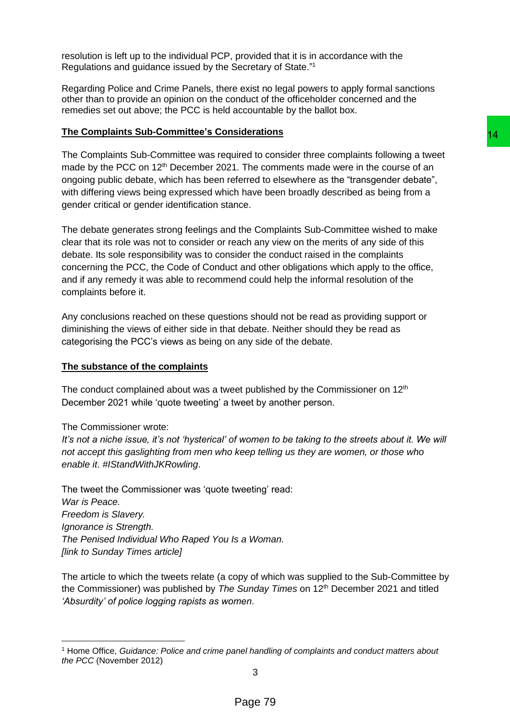resolution is left up to the individual PCP, provided that it is in accordance with the Regulations and guidance issued by the Secretary of State."<sup>1</sup>

Regarding Police and Crime Panels, there exist no legal powers to apply formal sanctions other than to provide an opinion on the conduct of the officeholder concerned and the remedies set out above; the PCC is held accountable by the ballot box.

### **The Complaints Sub-Committee's Considerations**

The Complaints Sub-Committee was required to consider three complaints following a tweet made by the PCC on 12<sup>th</sup> December 2021. The comments made were in the course of an ongoing public debate, which has been referred to elsewhere as the "transgender debate", with differing views being expressed which have been broadly described as being from a gender critical or gender identification stance.

The debate generates strong feelings and the Complaints Sub-Committee wished to make clear that its role was not to consider or reach any view on the merits of any side of this debate. Its sole responsibility was to consider the conduct raised in the complaints concerning the PCC, the Code of Conduct and other obligations which apply to the office, and if any remedy it was able to recommend could help the informal resolution of the complaints before it. **14**<br>
sincerations<br>
interation consider three complaints following a tweet<br>
i. The comments made were in the course of an<br>
have been broadly described as being from a<br>
nhave been broadly described as being from a<br>
the Comp

Any conclusions reached on these questions should not be read as providing support or diminishing the views of either side in that debate. Neither should they be read as categorising the PCC's views as being on any side of the debate.

### **The substance of the complaints**

The conduct complained about was a tweet published by the Commissioner on  $12<sup>th</sup>$ December 2021 while 'quote tweeting' a tweet by another person.

### The Commissioner wrote:

*It's not a niche issue, it's not 'hysterical' of women to be taking to the streets about it. We will not accept this gaslighting from men who keep telling us they are women, or those who enable it*. *#IStandWithJKRowling*.

The tweet the Commissioner was 'quote tweeting' read: *War is Peace. Freedom is Slavery. Ignorance is Strength. The Penised Individual Who Raped You Is a Woman. [link to Sunday Times article]*

The article to which the tweets relate (a copy of which was supplied to the Sub-Committee by the Commissioner) was published by *The Sunday Times* on 12th December 2021 and titled *'Absurdity' of police logging rapists as women*.

<sup>1</sup> Home Office, *Guidance: Police and crime panel handling of complaints and conduct matters about the PCC* (November 2012)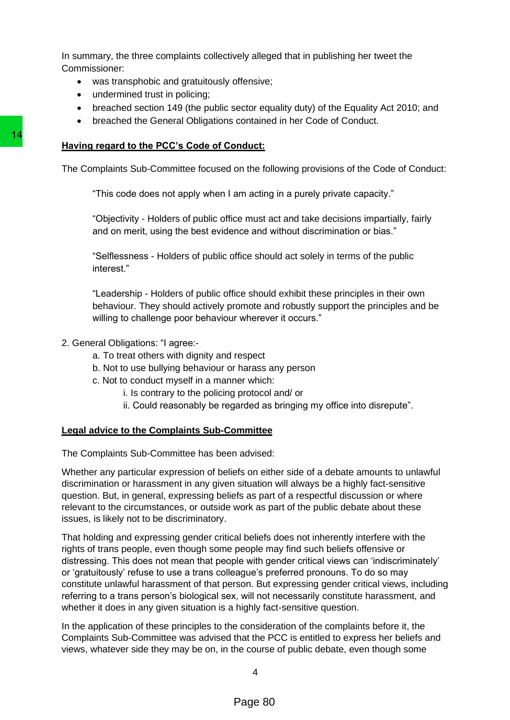In summary, the three complaints collectively alleged that in publishing her tweet the Commissioner:

- was transphobic and gratuitously offensive;
- undermined trust in policing;
- breached section 149 (the public sector equality duty) of the Equality Act 2010; and
- breached the General Obligations contained in her Code of Conduct.

## **Having regard to the PCC's Code of Conduct:**

The Complaints Sub-Committee focused on the following provisions of the Code of Conduct:

"This code does not apply when I am acting in a purely private capacity."

"Objectivity - Holders of public office must act and take decisions impartially, fairly and on merit, using the best evidence and without discrimination or bias."

"Selflessness - Holders of public office should act solely in terms of the public interest."

"Leadership - Holders of public office should exhibit these principles in their own behaviour. They should actively promote and robustly support the principles and be willing to challenge poor behaviour wherever it occurs."

- 2. General Obligations: "I agree:
	- a. To treat others with dignity and respect
	- b. Not to use bullying behaviour or harass any person
	- c. Not to conduct myself in a manner which:
		- i. Is contrary to the policing protocol and/ or
		- ii. Could reasonably be regarded as bringing my office into disrepute".

# **Legal advice to the Complaints Sub-Committee**

The Complaints Sub-Committee has been advised:

Whether any particular expression of beliefs on either side of a debate amounts to unlawful discrimination or harassment in any given situation will always be a highly fact-sensitive question. But, in general, expressing beliefs as part of a respectful discussion or where relevant to the circumstances, or outside work as part of the public debate about these issues, is likely not to be discriminatory.

That holding and expressing gender critical beliefs does not inherently interfere with the rights of trans people, even though some people may find such beliefs offensive or distressing. This does not mean that people with gender critical views can 'indiscriminately' or 'gratuitously' refuse to use a trans colleague's preferred pronouns. To do so may constitute unlawful harassment of that person. But expressing gender critical views, including referring to a trans person's biological sex, will not necessarily constitute harassment, and whether it does in any given situation is a highly fact-sensitive question. **Having regard to the PCC's Code of Conduct:**<br>The Complaints Sub-Committee focused on the foll<br>
"This code does not apply when I am acting<br>
"Chiectivity - Holders of public office must a<br>
and on merit, using the best evide

In the application of these principles to the consideration of the complaints before it, the Complaints Sub-Committee was advised that the PCC is entitled to express her beliefs and views, whatever side they may be on, in the course of public debate, even though some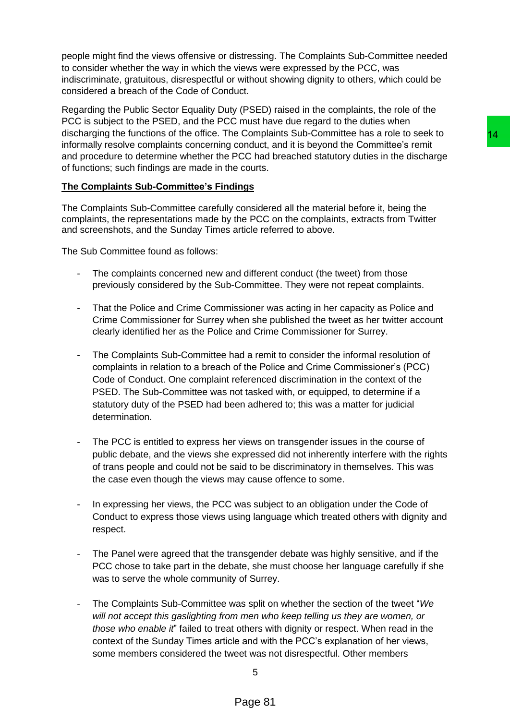people might find the views offensive or distressing. The Complaints Sub-Committee needed to consider whether the way in which the views were expressed by the PCC, was indiscriminate, gratuitous, disrespectful or without showing dignity to others, which could be considered a breach of the Code of Conduct.

Regarding the Public Sector Equality Duty (PSED) raised in the complaints, the role of the PCC is subject to the PSED, and the PCC must have due regard to the duties when discharging the functions of the office. The Complaints Sub-Committee has a role to seek to informally resolve complaints concerning conduct, and it is beyond the Committee's remit and procedure to determine whether the PCC had breached statutory duties in the discharge of functions; such findings are made in the courts.

## **The Complaints Sub-Committee's Findings**

The Complaints Sub-Committee carefully considered all the material before it, being the complaints, the representations made by the PCC on the complaints, extracts from Twitter and screenshots, and the Sunday Times article referred to above.

The Sub Committee found as follows:

- The complaints concerned new and different conduct (the tweet) from those previously considered by the Sub-Committee. They were not repeat complaints.
- That the Police and Crime Commissioner was acting in her capacity as Police and Crime Commissioner for Surrey when she published the tweet as her twitter account clearly identified her as the Police and Crime Commissioner for Surrey.
- The Complaints Sub-Committee had a remit to consider the informal resolution of complaints in relation to a breach of the Police and Crime Commissioner's (PCC) Code of Conduct. One complaint referenced discrimination in the context of the PSED. The Sub-Committee was not tasked with, or equipped, to determine if a statutory duty of the PSED had been adhered to; this was a matter for judicial determination. is Complantits Sub-Committee has a role to seek to<br>
econduct, and it is beyond the Committee's remit<br>
PCC had breached statutory duties in the discharge<br>
PCC had breached statutory duties in the discharge<br>
considered all t
- The PCC is entitled to express her views on transgender issues in the course of public debate, and the views she expressed did not inherently interfere with the rights of trans people and could not be said to be discriminatory in themselves. This was the case even though the views may cause offence to some.
- In expressing her views, the PCC was subject to an obligation under the Code of Conduct to express those views using language which treated others with dignity and respect.
- The Panel were agreed that the transgender debate was highly sensitive, and if the PCC chose to take part in the debate, she must choose her language carefully if she was to serve the whole community of Surrey.
- The Complaints Sub-Committee was split on whether the section of the tweet "*We will not accept this gaslighting from men who keep telling us they are women, or those who enable it*" failed to treat others with dignity or respect. When read in the context of the Sunday Times article and with the PCC's explanation of her views, some members considered the tweet was not disrespectful. Other members